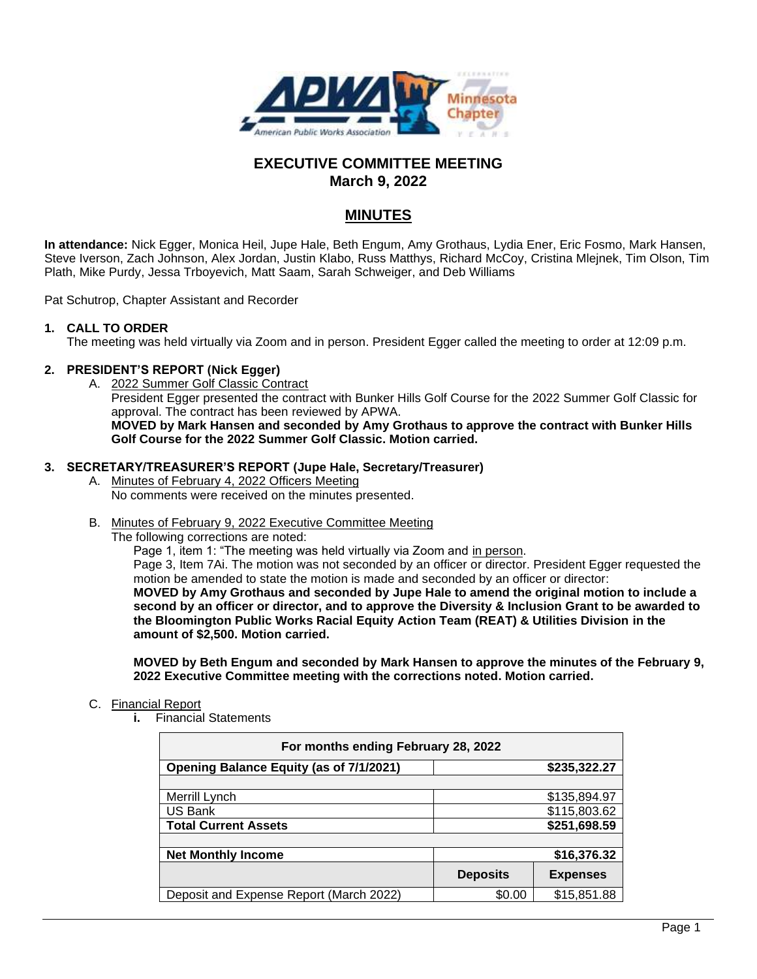

# **EXECUTIVE COMMITTEE MEETING March 9, 2022**

# **MINUTES**

**In attendance:** Nick Egger, Monica Heil, Jupe Hale, Beth Engum, Amy Grothaus, Lydia Ener, Eric Fosmo, Mark Hansen, Steve Iverson, Zach Johnson, Alex Jordan, Justin Klabo, Russ Matthys, Richard McCoy, Cristina Mlejnek, Tim Olson, Tim Plath, Mike Purdy, Jessa Trboyevich, Matt Saam, Sarah Schweiger, and Deb Williams

Pat Schutrop, Chapter Assistant and Recorder

#### **1. CALL TO ORDER**

The meeting was held virtually via Zoom and in person. President Egger called the meeting to order at 12:09 p.m.

#### **2. PRESIDENT'S REPORT (Nick Egger)**

A. 2022 Summer Golf Classic Contract President Egger presented the contract with Bunker Hills Golf Course for the 2022 Summer Golf Classic for approval. The contract has been reviewed by APWA. **MOVED by Mark Hansen and seconded by Amy Grothaus to approve the contract with Bunker Hills Golf Course for the 2022 Summer Golf Classic. Motion carried.**

#### **3. SECRETARY/TREASURER'S REPORT (Jupe Hale, Secretary/Treasurer)**

- A. Minutes of February 4, 2022 Officers Meeting No comments were received on the minutes presented.
- B. Minutes of February 9, 2022 Executive Committee Meeting

The following corrections are noted:

Page 1, item 1: "The meeting was held virtually via Zoom and in person. Page 3, Item 7Ai. The motion was not seconded by an officer or director. President Egger requested the motion be amended to state the motion is made and seconded by an officer or director: **MOVED by Amy Grothaus and seconded by Jupe Hale to amend the original motion to include a second by an officer or director, and to approve the Diversity & Inclusion Grant to be awarded to the Bloomington Public Works Racial Equity Action Team (REAT) & Utilities Division in the amount of \$2,500. Motion carried.**

**MOVED by Beth Engum and seconded by Mark Hansen to approve the minutes of the February 9, 2022 Executive Committee meeting with the corrections noted. Motion carried.**

#### C. Financial Report

**i.** Financial Statements

| For months ending February 28, 2022            |                 |                 |
|------------------------------------------------|-----------------|-----------------|
| <b>Opening Balance Equity (as of 7/1/2021)</b> |                 | \$235,322.27    |
|                                                |                 |                 |
| Merrill Lynch                                  |                 | \$135,894.97    |
| US Bank                                        |                 | \$115,803.62    |
| <b>Total Current Assets</b>                    |                 | \$251,698.59    |
|                                                |                 |                 |
| <b>Net Monthly Income</b>                      |                 | \$16,376.32     |
|                                                | <b>Deposits</b> | <b>Expenses</b> |
| Deposit and Expense Report (March 2022)        | \$0.00          | \$15,851.88     |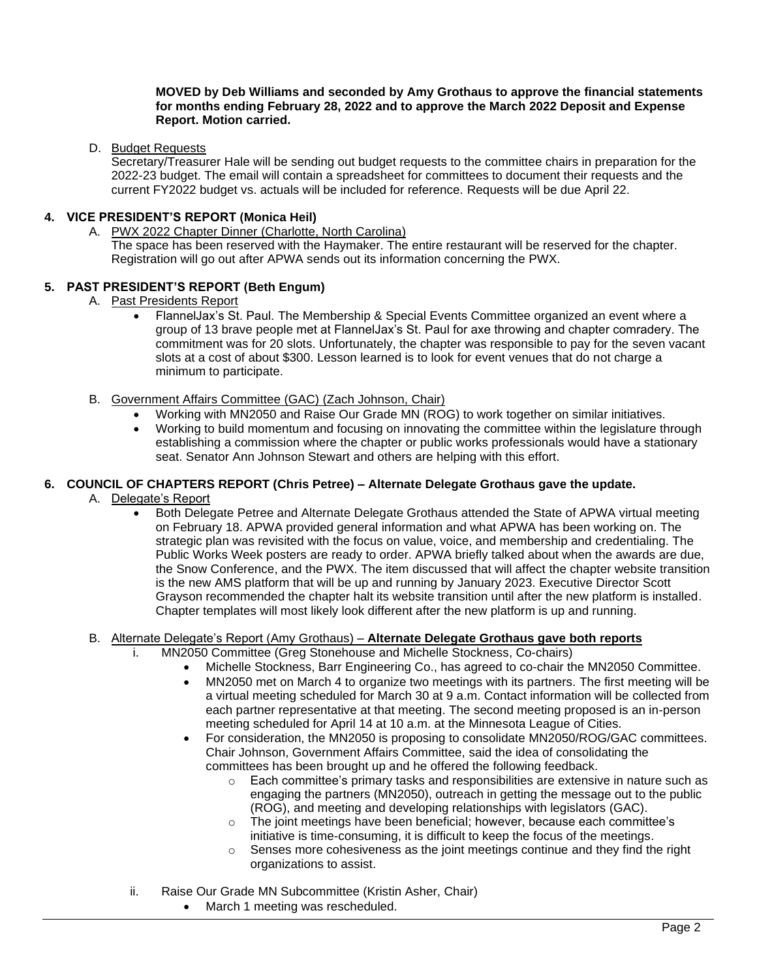#### **MOVED by Deb Williams and seconded by Amy Grothaus to approve the financial statements for months ending February 28, 2022 and to approve the March 2022 Deposit and Expense Report. Motion carried.**

### D. Budget Requests

Secretary/Treasurer Hale will be sending out budget requests to the committee chairs in preparation for the 2022-23 budget. The email will contain a spreadsheet for committees to document their requests and the current FY2022 budget vs. actuals will be included for reference. Requests will be due April 22.

### **4. VICE PRESIDENT'S REPORT (Monica Heil)**

A. PWX 2022 Chapter Dinner (Charlotte, North Carolina)

The space has been reserved with the Haymaker. The entire restaurant will be reserved for the chapter. Registration will go out after APWA sends out its information concerning the PWX.

#### **5. PAST PRESIDENT'S REPORT (Beth Engum)**

- A. Past Presidents Report
	- FlannelJax's St. Paul. The Membership & Special Events Committee organized an event where a group of 13 brave people met at FlannelJax's St. Paul for axe throwing and chapter comradery. The commitment was for 20 slots. Unfortunately, the chapter was responsible to pay for the seven vacant slots at a cost of about \$300. Lesson learned is to look for event venues that do not charge a minimum to participate.
- B. Government Affairs Committee (GAC) (Zach Johnson, Chair)
	- Working with MN2050 and Raise Our Grade MN (ROG) to work together on similar initiatives.
	- Working to build momentum and focusing on innovating the committee within the legislature through establishing a commission where the chapter or public works professionals would have a stationary seat. Senator Ann Johnson Stewart and others are helping with this effort.

#### **6. COUNCIL OF CHAPTERS REPORT (Chris Petree) – Alternate Delegate Grothaus gave the update.**

- A. Delegate's Report
	- Both Delegate Petree and Alternate Delegate Grothaus attended the State of APWA virtual meeting on February 18. APWA provided general information and what APWA has been working on. The strategic plan was revisited with the focus on value, voice, and membership and credentialing. The Public Works Week posters are ready to order. APWA briefly talked about when the awards are due, the Snow Conference, and the PWX. The item discussed that will affect the chapter website transition is the new AMS platform that will be up and running by January 2023. Executive Director Scott Grayson recommended the chapter halt its website transition until after the new platform is installed. Chapter templates will most likely look different after the new platform is up and running.

#### B. Alternate Delegate's Report (Amy Grothaus) – **Alternate Delegate Grothaus gave both reports**

- i. MN2050 Committee (Greg Stonehouse and Michelle Stockness, Co-chairs)
	- Michelle Stockness, Barr Engineering Co., has agreed to co-chair the MN2050 Committee.
		- MN2050 met on March 4 to organize two meetings with its partners. The first meeting will be a virtual meeting scheduled for March 30 at 9 a.m. Contact information will be collected from each partner representative at that meeting. The second meeting proposed is an in-person meeting scheduled for April 14 at 10 a.m. at the Minnesota League of Cities.
		- For consideration, the MN2050 is proposing to consolidate MN2050/ROG/GAC committees. Chair Johnson, Government Affairs Committee, said the idea of consolidating the committees has been brought up and he offered the following feedback.
			- $\circ$  Each committee's primary tasks and responsibilities are extensive in nature such as engaging the partners (MN2050), outreach in getting the message out to the public (ROG), and meeting and developing relationships with legislators (GAC).
			- $\circ$  The joint meetings have been beneficial; however, because each committee's initiative is time-consuming, it is difficult to keep the focus of the meetings.
			- o Senses more cohesiveness as the joint meetings continue and they find the right organizations to assist.
- ii. Raise Our Grade MN Subcommittee (Kristin Asher, Chair)
	- March 1 meeting was rescheduled.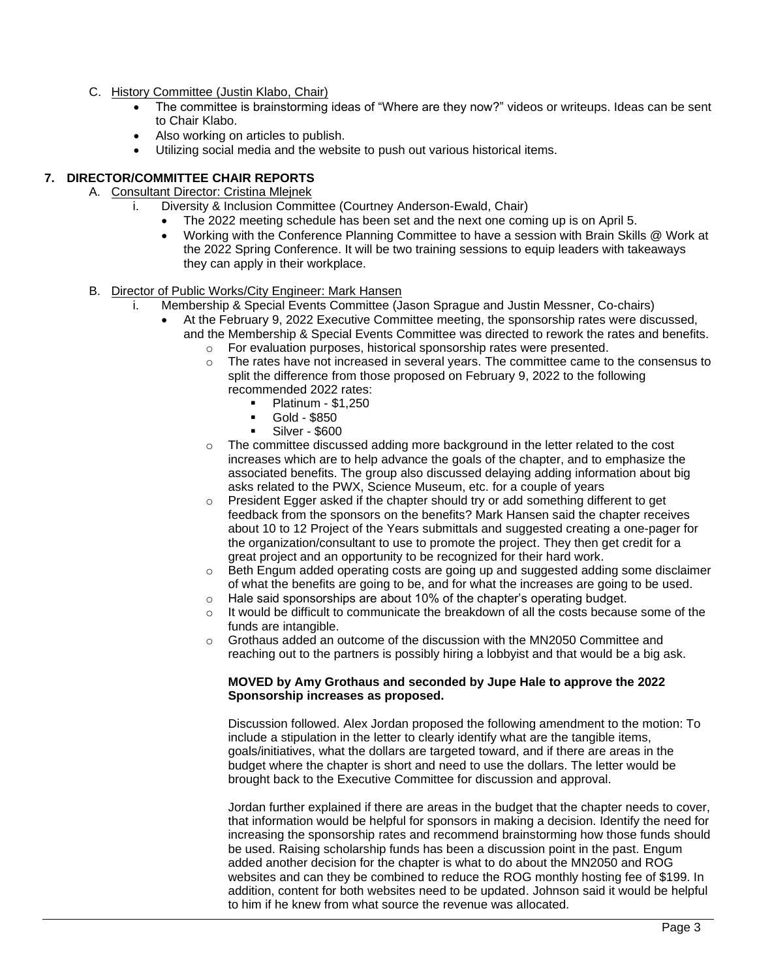- C. History Committee (Justin Klabo, Chair)
	- The committee is brainstorming ideas of "Where are they now?" videos or writeups. Ideas can be sent to Chair Klabo.
	- Also working on articles to publish.
	- Utilizing social media and the website to push out various historical items.

# **7. DIRECTOR/COMMITTEE CHAIR REPORTS**

- A. Consultant Director: Cristina Mlejnek
	- i. Diversity & Inclusion Committee (Courtney Anderson-Ewald, Chair)
		- The 2022 meeting schedule has been set and the next one coming up is on April 5.
		- Working with the Conference Planning Committee to have a session with Brain Skills @ Work at the 2022 Spring Conference. It will be two training sessions to equip leaders with takeaways they can apply in their workplace.
- B. Director of Public Works/City Engineer: Mark Hansen
	- i. Membership & Special Events Committee (Jason Sprague and Justin Messner, Co-chairs)
		- At the February 9, 2022 Executive Committee meeting, the sponsorship rates were discussed, and the Membership & Special Events Committee was directed to rework the rates and benefits.
			- o For evaluation purposes, historical sponsorship rates were presented.
			- The rates have not increased in several years. The committee came to the consensus to split the difference from those proposed on February 9, 2022 to the following recommended 2022 rates:
				- Platinum \$1,250
				- Gold \$850
				- Silver \$600
			- $\circ$  The committee discussed adding more background in the letter related to the cost increases which are to help advance the goals of the chapter, and to emphasize the associated benefits. The group also discussed delaying adding information about big asks related to the PWX, Science Museum, etc. for a couple of years
			- $\circ$  President Egger asked if the chapter should try or add something different to get feedback from the sponsors on the benefits? Mark Hansen said the chapter receives about 10 to 12 Project of the Years submittals and suggested creating a one-pager for the organization/consultant to use to promote the project. They then get credit for a great project and an opportunity to be recognized for their hard work.
			- $\circ$  Beth Engum added operating costs are going up and suggested adding some disclaimer of what the benefits are going to be, and for what the increases are going to be used.
			- o Hale said sponsorships are about 10% of the chapter's operating budget.
			- $\circ$  It would be difficult to communicate the breakdown of all the costs because some of the funds are intangible.
			- $\circ$  Grothaus added an outcome of the discussion with the MN2050 Committee and reaching out to the partners is possibly hiring a lobbyist and that would be a big ask.

#### **MOVED by Amy Grothaus and seconded by Jupe Hale to approve the 2022 Sponsorship increases as proposed.**

Discussion followed. Alex Jordan proposed the following amendment to the motion: To include a stipulation in the letter to clearly identify what are the tangible items, goals/initiatives, what the dollars are targeted toward, and if there are areas in the budget where the chapter is short and need to use the dollars. The letter would be brought back to the Executive Committee for discussion and approval.

Jordan further explained if there are areas in the budget that the chapter needs to cover, that information would be helpful for sponsors in making a decision. Identify the need for increasing the sponsorship rates and recommend brainstorming how those funds should be used. Raising scholarship funds has been a discussion point in the past. Engum added another decision for the chapter is what to do about the MN2050 and ROG websites and can they be combined to reduce the ROG monthly hosting fee of \$199. In addition, content for both websites need to be updated. Johnson said it would be helpful to him if he knew from what source the revenue was allocated.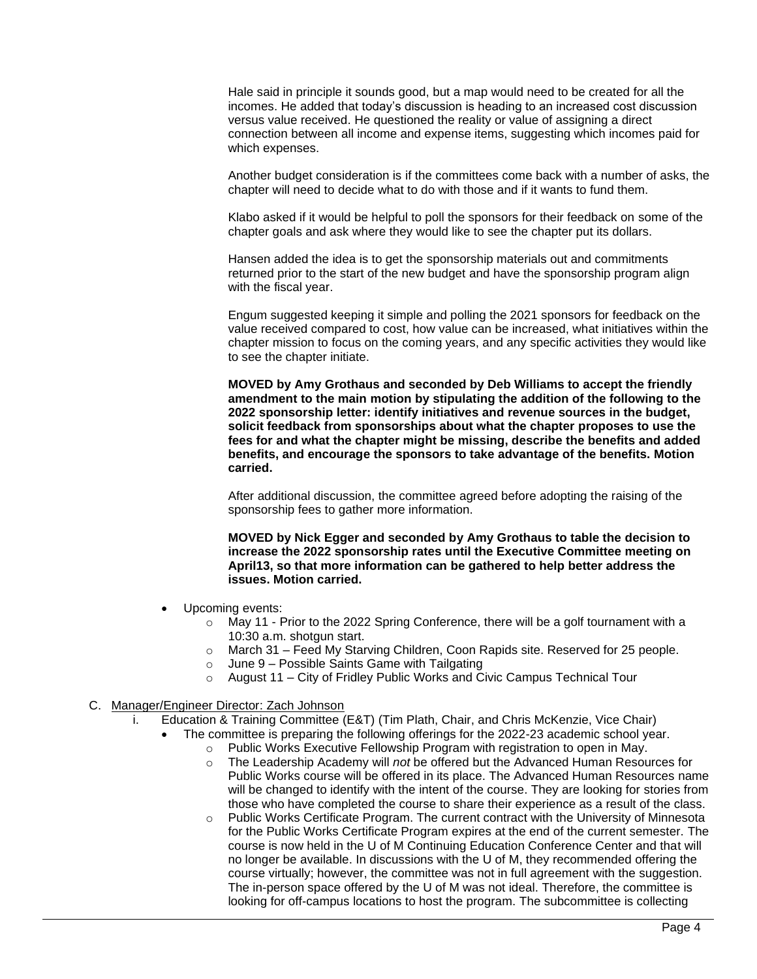Hale said in principle it sounds good, but a map would need to be created for all the incomes. He added that today's discussion is heading to an increased cost discussion versus value received. He questioned the reality or value of assigning a direct connection between all income and expense items, suggesting which incomes paid for which expenses.

Another budget consideration is if the committees come back with a number of asks, the chapter will need to decide what to do with those and if it wants to fund them.

Klabo asked if it would be helpful to poll the sponsors for their feedback on some of the chapter goals and ask where they would like to see the chapter put its dollars.

Hansen added the idea is to get the sponsorship materials out and commitments returned prior to the start of the new budget and have the sponsorship program align with the fiscal year.

Engum suggested keeping it simple and polling the 2021 sponsors for feedback on the value received compared to cost, how value can be increased, what initiatives within the chapter mission to focus on the coming years, and any specific activities they would like to see the chapter initiate.

**MOVED by Amy Grothaus and seconded by Deb Williams to accept the friendly amendment to the main motion by stipulating the addition of the following to the 2022 sponsorship letter: identify initiatives and revenue sources in the budget, solicit feedback from sponsorships about what the chapter proposes to use the fees for and what the chapter might be missing, describe the benefits and added benefits, and encourage the sponsors to take advantage of the benefits. Motion carried.**

After additional discussion, the committee agreed before adopting the raising of the sponsorship fees to gather more information.

**MOVED by Nick Egger and seconded by Amy Grothaus to table the decision to increase the 2022 sponsorship rates until the Executive Committee meeting on April13, so that more information can be gathered to help better address the issues. Motion carried.**

- Upcoming events:
	- $\circ$  May 11 Prior to the 2022 Spring Conference, there will be a golf tournament with a 10:30 a.m. shotgun start.
	- o March 31 Feed My Starving Children, Coon Rapids site. Reserved for 25 people.
	- $\circ$  June 9 Possible Saints Game with Tailgating
	- $\circ$  August 11 City of Fridley Public Works and Civic Campus Technical Tour

#### C. Manager/Engineer Director: Zach Johnson

- i. Education & Training Committee (E&T) (Tim Plath, Chair, and Chris McKenzie, Vice Chair)
	- The committee is preparing the following offerings for the 2022-23 academic school year.
		- o Public Works Executive Fellowship Program with registration to open in May.
		- o The Leadership Academy will *not* be offered but the Advanced Human Resources for Public Works course will be offered in its place. The Advanced Human Resources name will be changed to identify with the intent of the course. They are looking for stories from those who have completed the course to share their experience as a result of the class.
		- Public Works Certificate Program. The current contract with the University of Minnesota for the Public Works Certificate Program expires at the end of the current semester. The course is now held in the U of M Continuing Education Conference Center and that will no longer be available. In discussions with the U of M, they recommended offering the course virtually; however, the committee was not in full agreement with the suggestion. The in-person space offered by the U of M was not ideal. Therefore, the committee is looking for off-campus locations to host the program. The subcommittee is collecting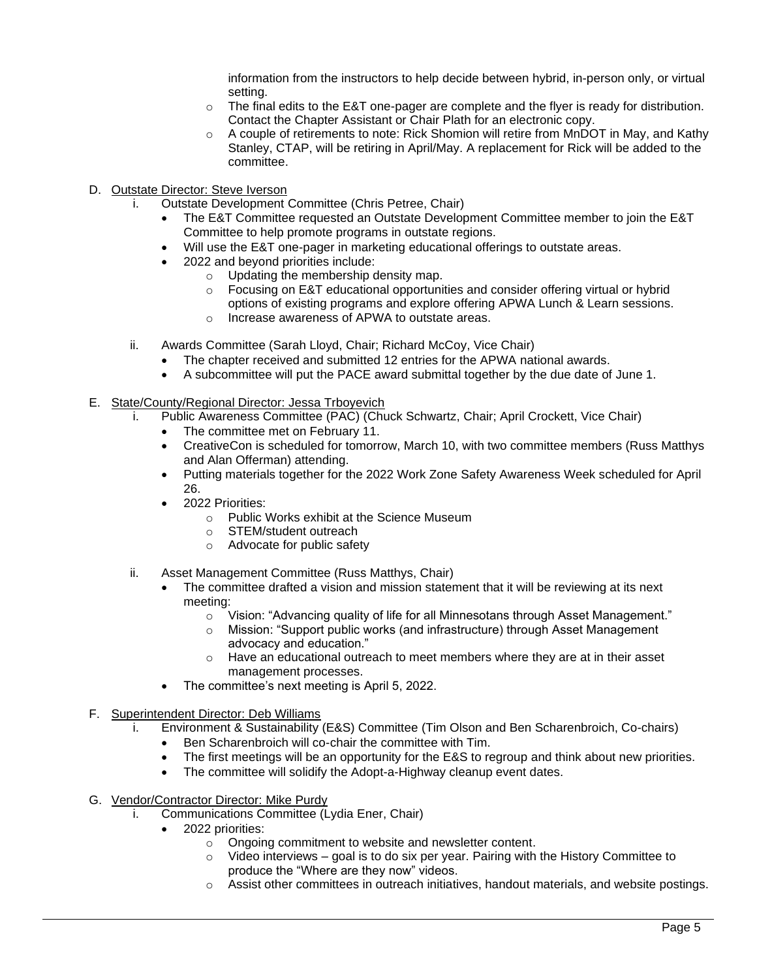information from the instructors to help decide between hybrid, in-person only, or virtual setting.

- $\circ$  The final edits to the E&T one-pager are complete and the flyer is ready for distribution. Contact the Chapter Assistant or Chair Plath for an electronic copy.
- $\circ$  A couple of retirements to note: Rick Shomion will retire from MnDOT in May, and Kathy Stanley, CTAP, will be retiring in April/May. A replacement for Rick will be added to the committee.
- D. Outstate Director: Steve Iverson
	- i. Outstate Development Committee (Chris Petree, Chair)
		- The E&T Committee requested an Outstate Development Committee member to join the E&T Committee to help promote programs in outstate regions.
		- Will use the E&T one-pager in marketing educational offerings to outstate areas.
		- 2022 and beyond priorities include:
			- o Updating the membership density map.
			- $\circ$  Focusing on E&T educational opportunities and consider offering virtual or hybrid options of existing programs and explore offering APWA Lunch & Learn sessions.
			- o Increase awareness of APWA to outstate areas.
	- ii. Awards Committee (Sarah Lloyd, Chair; Richard McCoy, Vice Chair)
		- The chapter received and submitted 12 entries for the APWA national awards.
		- A subcommittee will put the PACE award submittal together by the due date of June 1.
- E. State/County/Regional Director: Jessa Trboyevich
	- i. Public Awareness Committee (PAC) (Chuck Schwartz, Chair; April Crockett, Vice Chair)
		- The committee met on February 11.
		- CreativeCon is scheduled for tomorrow, March 10, with two committee members (Russ Matthys and Alan Offerman) attending.
		- Putting materials together for the 2022 Work Zone Safety Awareness Week scheduled for April 26.
		- 2022 Priorities:
			- o Public Works exhibit at the Science Museum
			- o STEM/student outreach
			- o Advocate for public safety
	- ii. Asset Management Committee (Russ Matthys, Chair)
		- The committee drafted a vision and mission statement that it will be reviewing at its next meeting:
			- $\circ$  Vision: "Advancing quality of life for all Minnesotans through Asset Management."
			- o Mission: "Support public works (and infrastructure) through Asset Management advocacy and education."
			- $\circ$  Have an educational outreach to meet members where they are at in their asset management processes.
		- The committee's next meeting is April 5, 2022.
- F. Superintendent Director: Deb Williams
	- i. Environment & Sustainability (E&S) Committee (Tim Olson and Ben Scharenbroich, Co-chairs)
		- Ben Scharenbroich will co-chair the committee with Tim.
		- The first meetings will be an opportunity for the E&S to regroup and think about new priorities.
		- The committee will solidify the Adopt-a-Highway cleanup event dates.
- G. Vendor/Contractor Director: Mike Purdy
	- i. Communications Committee (Lydia Ener, Chair)
		- 2022 priorities:
			- $\circ$  Ongoing commitment to website and newsletter content.
			- $\circ$  Video interviews goal is to do six per year. Pairing with the History Committee to produce the "Where are they now" videos.
			- o Assist other committees in outreach initiatives, handout materials, and website postings.